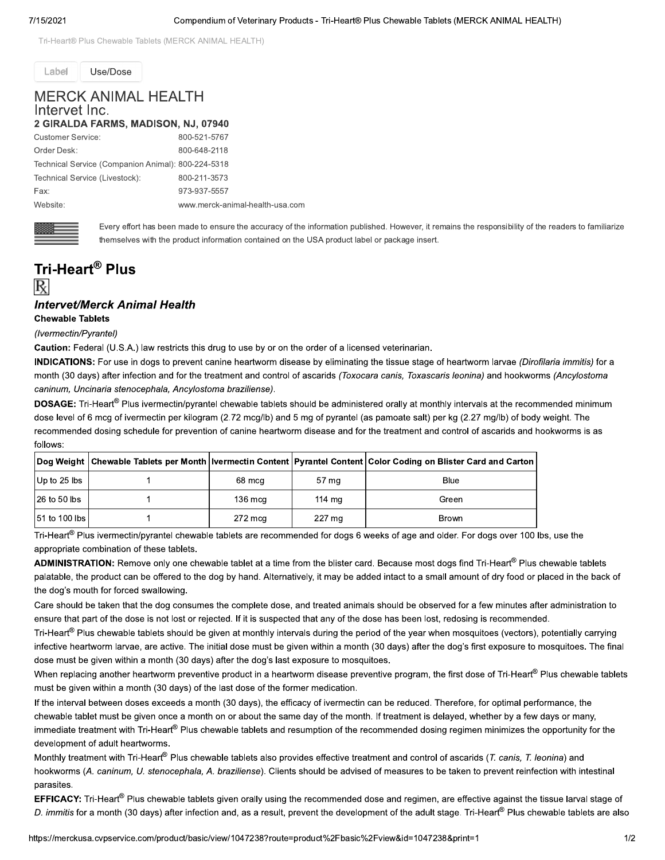Tri-Heart® Plus Chewable Tablets (MERCK ANIMAL HEALTH)

Label

## **MERCK ANIMAL HEALTH** Intervet Inc. C MADICON NU 07040

Use/Dose

| Z GIRALDA FARMS, MADISON, NJ, 07940                |                                 |
|----------------------------------------------------|---------------------------------|
| <b>Customer Service:</b>                           | 800-521-5767                    |
| Order Desk:                                        | 800-648-2118                    |
| Technical Service (Companion Animal): 800-224-5318 |                                 |
| Technical Service (Livestock):                     | 800-211-3573                    |
| Fax:                                               | 973-937-5557                    |
| Website:                                           | www.merck-animal-health-usa.com |



Every effort has been made to ensure the accuracy of the information published. However, it remains the responsibility of the readers to familiarize themselves with the product information contained on the USA product label or package insert.

## Tri-Heart<sup>®</sup> Plus

## **Intervet/Merck Animal Health**

**Chewable Tablets** 

(Ivermectin/Pyrantel)

Caution: Federal (U.S.A.) law restricts this drug to use by or on the order of a licensed veterinarian.

**INDICATIONS:** For use in dogs to prevent canine heartworm disease by eliminating the tissue stage of heartworm larvae (Dirofilaria immitis) for a month (30 days) after infection and for the treatment and control of ascarids (Toxocara canis, Toxascaris leonina) and hookworms (Ancylostoma caninum, Uncinaria stenocephala, Ancylostoma braziliense).

DOSAGE: Tri-Heart<sup>®</sup> Plus ivermectin/pyrantel chewable tablets should be administered orally at monthly intervals at the recommended minimum dose level of 6 mcg of ivermectin per kilogram (2.72 mcg/lb) and 5 mg of pyrantel (as pamoate salt) per kg (2.27 mg/lb) of body weight. The recommended dosing schedule for prevention of canine heartworm disease and for the treatment and control of ascarids and hookworms is as follows:

|                 |                   |        | Dog Weight   Chewable Tablets per Month   Ivermectin Content   Pyrantel Content   Color Coding on Blister Card and Carton |
|-----------------|-------------------|--------|---------------------------------------------------------------------------------------------------------------------------|
| Up to $25$ lbs  | 68 mcg            | 57 mg  | Blue                                                                                                                      |
| $126$ to 50 lbs | $136 \text{ mcq}$ | 114 mg | Green                                                                                                                     |
| 51 to 100 lbs   | 272 mcg           | 227 mg | <b>Brown</b>                                                                                                              |

Tri-Heart<sup>®</sup> Plus ivermectin/pyrantel chewable tablets are recommended for dogs 6 weeks of age and older. For dogs over 100 lbs, use the appropriate combination of these tablets.

ADMINISTRATION: Remove only one chewable tablet at a time from the blister card. Because most dogs find Tri-Heart® Plus chewable tablets palatable, the product can be offered to the dog by hand. Alternatively, it may be added intact to a small amount of dry food or placed in the back of the dog's mouth for forced swallowing.

Care should be taken that the dog consumes the complete dose, and treated animals should be observed for a few minutes after administration to ensure that part of the dose is not lost or rejected. If it is suspected that any of the dose has been lost, redosing is recommended.

Tri-Heart® Plus chewable tablets should be given at monthly intervals during the period of the year when mosquitoes (vectors), potentially carrying infective heartworm larvae, are active. The initial dose must be given within a month (30 days) after the dog's first exposure to mosquitoes. The final dose must be given within a month (30 days) after the dog's last exposure to mosquitoes.

When replacing another heartworm preventive product in a heartworm disease preventive program, the first dose of Tri-Heart® Plus chewable tablets must be given within a month (30 days) of the last dose of the former medication.

If the interval between doses exceeds a month (30 days), the efficacy of ivermectin can be reduced. Therefore, for optimal performance, the chewable tablet must be given once a month on or about the same day of the month. If treatment is delayed, whether by a few days or many, immediate treatment with Tri-Heart® Plus chewable tablets and resumption of the recommended dosing regimen minimizes the opportunity for the development of adult heartworms.

Monthly treatment with Tri-Heart® Plus chewable tablets also provides effective treatment and control of ascarids (T. canis, T. leonina) and hookworms (A. caninum, U. stenocephala, A. braziliense). Clients should be advised of measures to be taken to prevent reinfection with intestinal parasites.

EFFICACY: Tri-Heart<sup>®</sup> Plus chewable tablets given orally using the recommended dose and regimen, are effective against the tissue larval stage of D. immitis for a month (30 days) after infection and, as a result, prevent the development of the adult stage. Tri-Heart® Plus chewable tablets are also